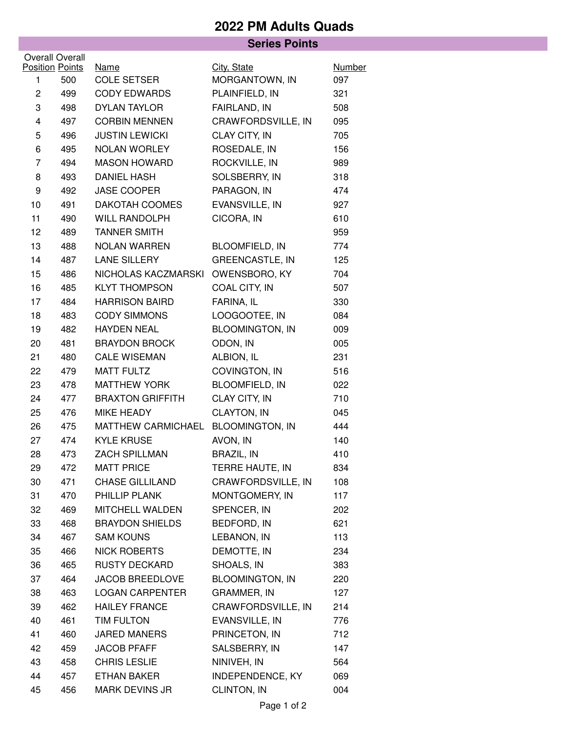## **2022 PM Adults Quads**

|                         |     | <b>Series Points</b>    |                         |               |  |  |  |  |
|-------------------------|-----|-------------------------|-------------------------|---------------|--|--|--|--|
| <b>Overall Overall</b>  |     |                         |                         |               |  |  |  |  |
| <b>Position Points</b>  |     | <b>Name</b>             | City, State             | <b>Number</b> |  |  |  |  |
| 1                       | 500 | <b>COLE SETSER</b>      | MORGANTOWN, IN          | 097           |  |  |  |  |
| $\overline{c}$          | 499 | <b>CODY EDWARDS</b>     | PLAINFIELD, IN          | 321           |  |  |  |  |
| 3                       | 498 | <b>DYLAN TAYLOR</b>     | FAIRLAND, IN            | 508           |  |  |  |  |
| $\overline{\mathbf{4}}$ | 497 | <b>CORBIN MENNEN</b>    | CRAWFORDSVILLE, IN      | 095           |  |  |  |  |
| 5                       | 496 | <b>JUSTIN LEWICKI</b>   | CLAY CITY, IN           | 705           |  |  |  |  |
| 6                       | 495 | NOLAN WORLEY            | ROSEDALE, IN            | 156           |  |  |  |  |
| $\overline{7}$          | 494 | <b>MASON HOWARD</b>     | ROCKVILLE, IN           | 989           |  |  |  |  |
| 8                       | 493 | <b>DANIEL HASH</b>      | SOLSBERRY, IN           | 318           |  |  |  |  |
| 9                       | 492 | JASE COOPER             | PARAGON, IN             | 474           |  |  |  |  |
| 10                      | 491 | DAKOTAH COOMES          | EVANSVILLE, IN          | 927           |  |  |  |  |
| 11                      | 490 | WILL RANDOLPH           | CICORA, IN              | 610           |  |  |  |  |
| 12                      | 489 | <b>TANNER SMITH</b>     |                         | 959           |  |  |  |  |
| 13                      | 488 | <b>NOLAN WARREN</b>     | <b>BLOOMFIELD, IN</b>   | 774           |  |  |  |  |
| 14                      | 487 | <b>LANE SILLERY</b>     | <b>GREENCASTLE, IN</b>  | 125           |  |  |  |  |
| 15                      | 486 | NICHOLAS KACZMARSKI     | OWENSBORO, KY           | 704           |  |  |  |  |
| 16                      | 485 | <b>KLYT THOMPSON</b>    | COAL CITY, IN           | 507           |  |  |  |  |
| 17                      | 484 | <b>HARRISON BAIRD</b>   | FARINA, IL              | 330           |  |  |  |  |
| 18                      | 483 | <b>CODY SIMMONS</b>     | LOOGOOTEE, IN           | 084           |  |  |  |  |
| 19                      | 482 | <b>HAYDEN NEAL</b>      | <b>BLOOMINGTON, IN</b>  | 009           |  |  |  |  |
| 20                      | 481 | <b>BRAYDON BROCK</b>    | ODON, IN                | 005           |  |  |  |  |
| 21                      | 480 | <b>CALE WISEMAN</b>     | ALBION, IL              | 231           |  |  |  |  |
| 22                      | 479 | <b>MATT FULTZ</b>       | COVINGTON, IN           | 516           |  |  |  |  |
| 23                      | 478 | <b>MATTHEW YORK</b>     | <b>BLOOMFIELD, IN</b>   | 022           |  |  |  |  |
| 24                      | 477 | <b>BRAXTON GRIFFITH</b> | CLAY CITY, IN           | 710           |  |  |  |  |
| 25                      | 476 | MIKE HEADY              | CLAYTON, IN             | 045           |  |  |  |  |
| 26                      | 475 | MATTHEW CARMICHAEL      | <b>BLOOMINGTON, IN</b>  | 444           |  |  |  |  |
| 27                      | 474 | <b>KYLE KRUSE</b>       | AVON, IN                | 140           |  |  |  |  |
| 28                      | 473 | ZACH SPILLMAN           | <b>BRAZIL, IN</b>       | 410           |  |  |  |  |
| 29                      | 472 | <b>MATT PRICE</b>       | TERRE HAUTE, IN         | 834           |  |  |  |  |
| 30                      | 471 | <b>CHASE GILLILAND</b>  | CRAWFORDSVILLE, IN      | 108           |  |  |  |  |
| 31                      | 470 | PHILLIP PLANK           | MONTGOMERY, IN          | 117           |  |  |  |  |
| 32                      | 469 | <b>MITCHELL WALDEN</b>  | SPENCER, IN             | 202           |  |  |  |  |
| 33                      | 468 | <b>BRAYDON SHIELDS</b>  | BEDFORD, IN             | 621           |  |  |  |  |
| 34                      | 467 | <b>SAM KOUNS</b>        | LEBANON, IN             | 113           |  |  |  |  |
| 35                      | 466 | <b>NICK ROBERTS</b>     | DEMOTTE, IN             | 234           |  |  |  |  |
| 36                      | 465 | <b>RUSTY DECKARD</b>    | SHOALS, IN              | 383           |  |  |  |  |
| 37                      | 464 | JACOB BREEDLOVE         | <b>BLOOMINGTON, IN</b>  | 220           |  |  |  |  |
| 38                      | 463 | <b>LOGAN CARPENTER</b>  | GRAMMER, IN             | 127           |  |  |  |  |
| 39                      | 462 | <b>HAILEY FRANCE</b>    | CRAWFORDSVILLE, IN      | 214           |  |  |  |  |
| 40                      | 461 | TIM FULTON              | EVANSVILLE, IN          | 776           |  |  |  |  |
| 41                      | 460 | <b>JARED MANERS</b>     | PRINCETON, IN           | 712           |  |  |  |  |
| 42                      | 459 | <b>JACOB PFAFF</b>      | SALSBERRY, IN           | 147           |  |  |  |  |
| 43                      | 458 | <b>CHRIS LESLIE</b>     | NINIVEH, IN             | 564           |  |  |  |  |
| 44                      | 457 | <b>ETHAN BAKER</b>      | <b>INDEPENDENCE, KY</b> | 069           |  |  |  |  |
| 45                      | 456 | MARK DEVINS JR          | CLINTON, IN             | 004           |  |  |  |  |